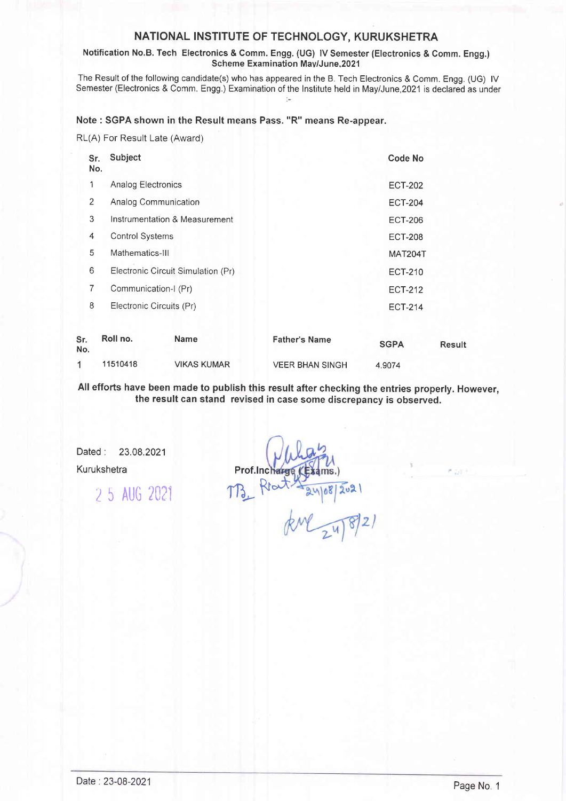# NATIONAL INSTITUTE OF TECHNOLOGY, KURUKSHETRA

### Notification No.B. Tech Electronics & Comm. Engg. (UG) lV Semester (Electronics & Comm. Engg.) Scheme Examination Mav/June,2021

The Result of the following candidate(s) who has appeared in the B. Tech Electronics & Comm. Engg. (UG) lV Semester (Electronics & Comm. Engg.) Examination of the lnstitute held in MayiJune,2021 is declared as under

## Note : SGPA shown in the Result means Pass. "R" means Re-appear.

RL(A) For Result Late (Award)

| Sr.<br>No. | Subject                  |                                    |                        | Code No     |        |
|------------|--------------------------|------------------------------------|------------------------|-------------|--------|
| 1          | Analog Electronics       |                                    | <b>ECT-202</b>         |             |        |
| 2          | Analog Communication     |                                    | <b>ECT-204</b>         |             |        |
| 3          |                          | Instrumentation & Measurement      | <b>ECT-206</b>         |             |        |
| 4          | <b>Control Systems</b>   |                                    | <b>ECT-208</b>         |             |        |
| 5          | Mathematics-III          |                                    | MAT204T                |             |        |
| 6          |                          | Electronic Circuit Simulation (Pr) | <b>ECT-210</b>         |             |        |
| 7          | Communication-I (Pr)     |                                    | <b>ECT-212</b>         |             |        |
| 8          | Electronic Circuits (Pr) |                                    | <b>ECT-214</b>         |             |        |
| Sr.<br>No. | Roll no.                 | <b>Name</b>                        | <b>Father's Name</b>   | <b>SGPA</b> | Result |
| 1          | 11510418                 | <b>VIKAS KUMAR</b>                 | <b>VEER BHAN SINGH</b> | 4.9074      |        |

All efforts have been made to publish this result after checking the entries properly. However, the result can stand revised in case some discrepancy is observed.

Dated : 23.08.2021

Kurukshetra **Prof.Inc** 

'1 5 AUG <sup>2021</sup>

 $TB_{L}R$  $kM_{24}8/21$